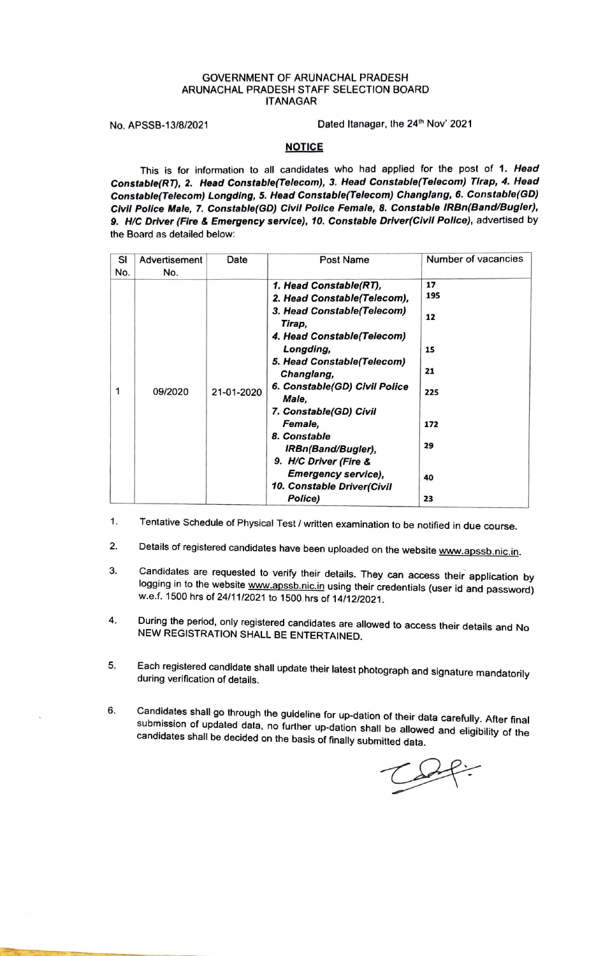## GOVERNMENT OF ARUNACHAL PRADESH ARUNACHAL PRADESH STAFF SELECTION BOARD **ITANAGAR**

No. APSSB-13/8/2021 Dated Itanagar, the 24<sup>th</sup> Nov' 2021

## **NOTICE**

This is for information to all candidates who had applied for the post of **1. Head Constable(RT), 2. Head Constable(Telecom),** *3.* **Head Constab/e(Telecom) Tlrap, 4. Head Constable(Telecom) Longdlng, 5. Head Constable(Telecom) Changlang, 6. Constable(GD)**  Clvfl **Polfce Male,** 7. **Constable(GD)** Clvfl **Police Female, 8. Constable IRBn(Band/Bugler),**  9. H/C Driver (Fire & Emergency service), 10. Constable Driver(Civil Police), advertised by the Board as detailed below:

| SI<br>No. | Advertisement<br>No. | Date       | Post Name                                                                                                                                                                                                                                                                                                                                                                                                  | Number of vacancies                                         |
|-----------|----------------------|------------|------------------------------------------------------------------------------------------------------------------------------------------------------------------------------------------------------------------------------------------------------------------------------------------------------------------------------------------------------------------------------------------------------------|-------------------------------------------------------------|
| 1         | 09/2020              | 21-01-2020 | 1. Head Constable(RT),<br>2. Head Constable(Telecom),<br>3. Head Constable(Telecom)<br>Tirap,<br>4. Head Constable (Telecom)<br>Longding,<br>5. Head Constable(Telecom)<br>Changlang,<br>6. Constable(GD) Civil Police<br>Male.<br>7. Constable(GD) Civil<br>Female,<br>8. Constable<br>IRBn(Band/Bugler),<br>9. H/C Driver (Fire &<br><b>Emergency service),</b><br>10. Constable Driver(Civil<br>Police) | 17<br>195<br>12<br>15<br>21<br>225<br>172<br>29<br>40<br>23 |

- 1. Tentative Schedule of Physical Test / written examination to be notified in due course.
- 2. Details of registered candidates have been uploaded on the website www.apssb.nic.in.
- 3. Candidates are requested to verify their details. They can access their application by logging in to the website www.apssb.nic.in using their credentials (user id and password) w.e.f. 1500 hrs of 24/11/2021 to 1500 hrs of 14/12/2021.
- 4. During the period, only registered candidates are allowed to access their details and No NEW REGISTRATION SHALL BE ENTERTAINED.
- 5. Each registered candidate shall update their latest photograph and signature mandatorily<br>during verification of details.
- 6. Candi\_da~es shall go through the guideline for up-dation of their data carefully. **After** final submission of updated data, no further up-dation shall be allowed and eligibility of the candidates shall be decided on the basis of finally submitted data.

 $CSP:$